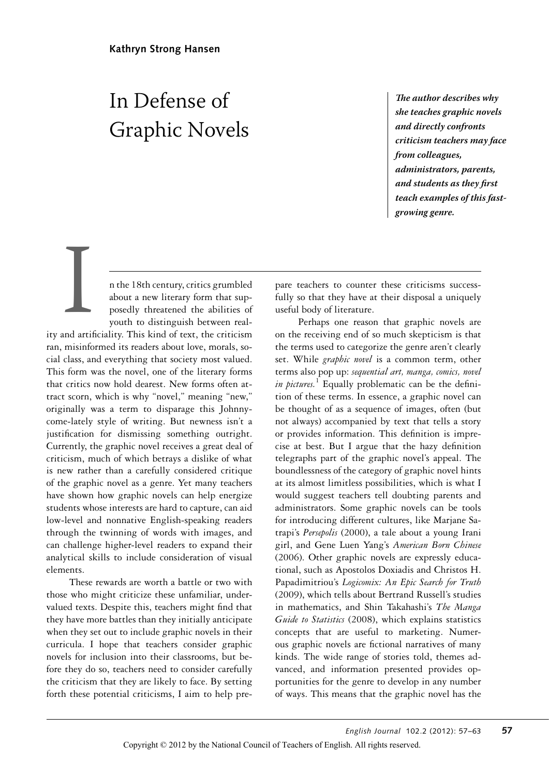# In Defense of Graphic Novels

**T***e author describes why she teaches graphic novels and directly confronts criticism teachers may face from colleagues, administrators, parents, and students as they* **f***rst teach examples of this fastgrowing genre.*

n the 18th century, critics grumbled about a new literary form that supposedly threatened the abilities of youth to distinguish between real-

ity and artificiality. This kind of text, the criticism ran, misinformed its readers about love, morals, social class, and everything that society most valued. This form was the novel, one of the literary forms that critics now hold dearest. New forms often attract scorn, which is why "novel," meaning "new," originally was a term to disparage this Johnnycome-lately style of writing. But newness isn't a justification for dismissing something outright. Currently, the graphic novel receives a great deal of criticism, much of which betrays a dislike of what is new rather than a carefully considered critique of the graphic novel as a genre. Yet many teachers have shown how graphic novels can help energize students whose interests are hard to capture, can aid low-level and nonnative English-speaking readers through the twinning of words with images, and can challenge higher-level readers to expand their analytical skills to include consideration of visual elements. and artist

These rewards are worth a battle or two with those who might criticize these unfamiliar, undervalued texts. Despite this, teachers might find that they have more battles than they initially anticipate when they set out to include graphic novels in their curricula. I hope that teachers consider graphic novels for inclusion into their classrooms, but before they do so, teachers need to consider carefully the criticism that they are likely to face. By setting forth these potential criticisms, I aim to help prepare teachers to counter these criticisms successfully so that they have at their disposal a uniquely useful body of literature.

Perhaps one reason that graphic novels are on the receiving end of so much skepticism is that the terms used to categorize the genre aren't clearly set. While *graphic novel* is a common term, other terms also pop up: *sequential art, manga, comics, novel*  in pictures.<sup>1</sup> Equally problematic can be the definition of these terms. In essence, a graphic novel can be thought of as a sequence of images, often (but not always) accompanied by text that tells a story or provides information. This definition is imprecise at best. But I argue that the hazy definition telegraphs part of the graphic novel's appeal. The boundlessness of the category of graphic novel hints at its almost limitless possibilities, which is what I would suggest teachers tell doubting parents and administrators. Some graphic novels can be tools for introducing different cultures, like Marjane Satrapi's *Persepolis* (2000), a tale about a young Irani girl, and Gene Luen Yang's *American Born Chinese* (2006). Other graphic novels are expressly educational, such as Apostolos Doxiadis and Christos H. Papadimitriou's *Logicomix: An Epic Search for Truth* (2009), which tells about Bertrand Russell's studies in mathematics, and Shin Takahashi's *The Manga Guide to Statistics* (2008), which explains statistics concepts that are useful to marketing. Numerous graphic novels are fictional narratives of many kinds. The wide range of stories told, themes advanced, and information presented provides opportunities for the genre to develop in any number of ways. This means that the graphic novel has the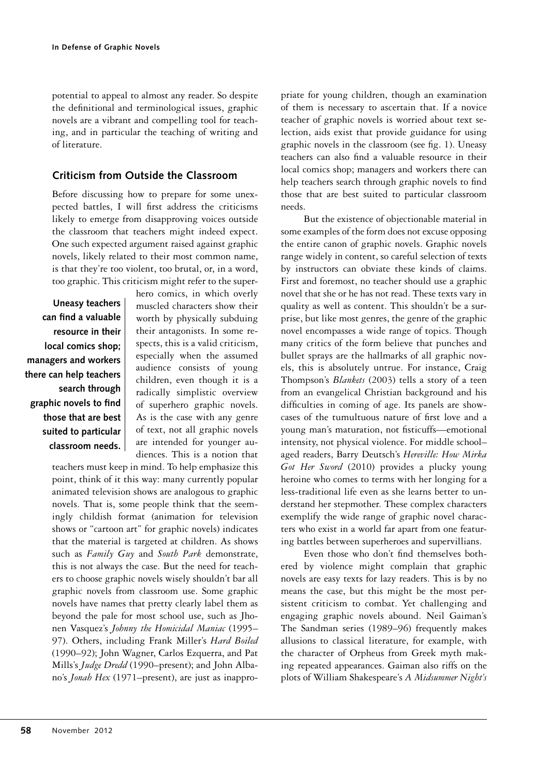potential to appeal to almost any reader. So despite the definitional and terminological issues, graphic novels are a vibrant and compelling tool for teaching, and in particular the teaching of writing and of literature.

#### **Criticism from Outside the Classroom**

Before discussing how to prepare for some unexpected battles, I will first address the criticisms likely to emerge from disapproving voices outside the classroom that teachers might indeed expect. One such expected argument raised against graphic novels, likely related to their most common name, is that they're too violent, too brutal, or, in a word, too graphic. This criticism might refer to the super-

**Uneasy teachers can find a valuable resource in their local comics shop; managers and workers there can help teachers search through graphic novels to find those that are best suited to particular classroom needs.** hero comics, in which overly muscled characters show their worth by physically subduing their antagonists. In some respects, this is a valid criticism, especially when the assumed audience consists of young children, even though it is a radically simplistic overview of superhero graphic novels. As is the case with any genre of text, not all graphic novels are intended for younger audiences. This is a notion that

teachers must keep in mind. To help emphasize this point, think of it this way: many currently popular animated television shows are analogous to graphic novels. That is, some people think that the seemingly childish format (animation for television shows or "cartoon art" for graphic novels) indicates that the material is targeted at children. As shows such as *Family Guy* and *South Park* demonstrate, this is not always the case. But the need for teachers to choose graphic novels wisely shouldn't bar all graphic novels from classroom use. Some graphic novels have names that pretty clearly label them as beyond the pale for most school use, such as Jhonen Vasquez's *Johnny the Homicidal Maniac* (1995– 97). Others, including Frank Miller's *Hard Boiled* (1990–92); John Wagner, Carlos Ezquerra, and Pat Mills's *Judge Dredd* (1990–present); and John Albano's *Jonah Hex* (1971–present), are just as inappropriate for young children, though an examination of them is necessary to ascertain that. If a novice teacher of graphic novels is worried about text selection, aids exist that provide guidance for using graphic novels in the classroom (see fig. 1). Uneasy teachers can also find a valuable resource in their local comics shop; managers and workers there can help teachers search through graphic novels to find those that are best suited to particular classroom needs.

But the existence of objectionable material in some examples of the form does not excuse opposing the entire canon of graphic novels. Graphic novels range widely in content, so careful selection of texts by instructors can obviate these kinds of claims. First and foremost, no teacher should use a graphic novel that she or he has not read. These texts vary in quality as well as content. This shouldn't be a surprise, but like most genres, the genre of the graphic novel encompasses a wide range of topics. Though many critics of the form believe that punches and bullet sprays are the hallmarks of all graphic novels, this is absolutely untrue. For instance, Craig Thompson's *Blankets* (2003) tells a story of a teen from an evangelical Christian background and his difficulties in coming of age. Its panels are showcases of the tumultuous nature of first love and a young man's maturation, not fisticuffs—emotional intensity, not physical violence. For middle school– aged readers, Barry Deutsch's *Hereville: How Mirka Got Her Sword* (2010) provides a plucky young heroine who comes to terms with her longing for a less-traditional life even as she learns better to understand her stepmother. These complex characters exemplify the wide range of graphic novel characters who exist in a world far apart from one featuring battles between superheroes and supervillians.

Even those who don't find themselves bothered by violence might complain that graphic novels are easy texts for lazy readers. This is by no means the case, but this might be the most persistent criticism to combat. Yet challenging and engaging graphic novels abound. Neil Gaiman's The Sandman series (1989–96) frequently makes allusions to classical literature, for example, with the character of Orpheus from Greek myth making repeated appearances. Gaiman also riffs on the plots of William Shakespeare's *A Midsummer Night's*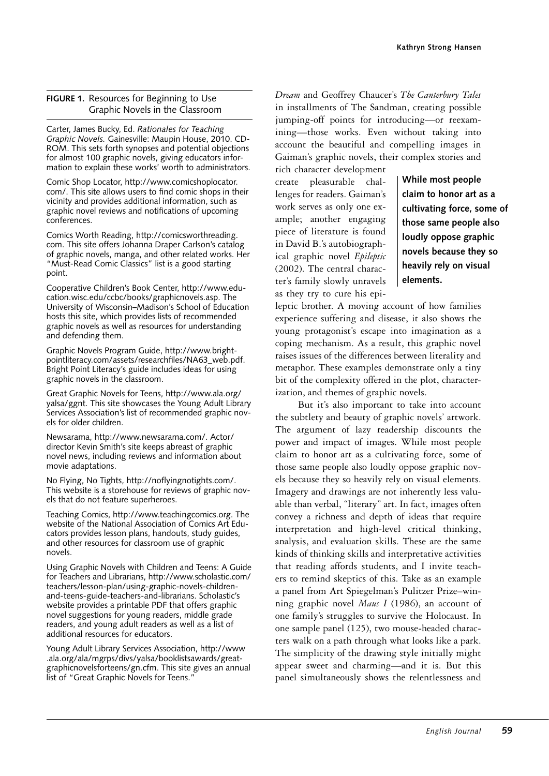#### **FIGURE 1.** Resources for Beginning to Use Graphic Novels in the Classroom

Carter, James Bucky, Ed. *Rationales for Teaching Graphic Novels.* Gainesville: Maupin House, 2010. CD-ROM. This sets forth synopses and potential objections for almost 100 graphic novels, giving educators information to explain these works' worth to administrators.

Comic Shop Locator, http://www.comicshoplocator. com/. This site allows users to find comic shops in their vicinity and provides additional information, such as graphic novel reviews and notifications of upcoming conferences.

Comics Worth Reading, http://comicsworthreading. com. This site offers Johanna Draper Carlson's catalog of graphic novels, manga, and other related works. Her "Must-Read Comic Classics" list is a good starting point.

Cooperative Children's Book Center, http://www.education.wisc.edu/ccbc/books/graphicnovels.asp. The University of Wisconsin–Madison's School of Education hosts this site, which provides lists of recommended graphic novels as well as resources for understanding and defending them.

Graphic Novels Program Guide, http://www.brightpointliteracy.com/assets/researchfiles/NA63\_web.pdf. Bright Point Literacy's guide includes ideas for using graphic novels in the classroom.

Great Graphic Novels for Teens, http://www.ala.org/ yalsa/ggnt. This site showcases the Young Adult Library Services Association's list of recommended graphic novels for older children.

Newsarama, http://www.newsarama.com/. Actor/ director Kevin Smith's site keeps abreast of graphic novel news, including reviews and information about movie adaptations.

No Flying, No Tights, http://noflyingnotights.com/. This website is a storehouse for reviews of graphic novels that do not feature superheroes.

Teaching Comics, http://www.teachingcomics.org. The website of the National Association of Comics Art Educators provides lesson plans, handouts, study guides, and other resources for classroom use of graphic novels.

Using Graphic Novels with Children and Teens: A Guide for Teachers and Librarians, http://www.scholastic.com/ teachers/lesson-plan/using-graphic-novels-childrenand-teens-guide-teachers-and-librarians. Scholastic's website provides a printable PDF that offers graphic novel suggestions for young readers, middle grade readers, and young adult readers as well as a list of additional resources for educators.

Young Adult Library Services Association, http://www .ala.org/ala/mgrps/divs/yalsa/booklistsawards/greatgraphicnovelsforteens/gn.cfm. This site gives an annual list of "Great Graphic Novels for Teens."

*Dream* and Geoffrey Chaucer's *The Canterbury Tales* in installments of The Sandman, creating possible jumping-off points for introducing—or reexamining—those works. Even without taking into account the beautiful and compelling images in Gaiman's graphic novels, their complex stories and

rich character development create pleasurable challenges for readers. Gaiman's work serves as only one example; another engaging piece of literature is found in David B.'s autobiographical graphic novel *Epileptic* (2002). The central character's family slowly unravels as they try to cure his epi-

**While most people claim to honor art as a cultivating force, some of those same people also loudly oppose graphic novels because they so heavily rely on visual elements.**

leptic brother. A moving account of how families experience suffering and disease, it also shows the young protagonist's escape into imagination as a coping mechanism. As a result, this graphic novel raises issues of the differences between literality and metaphor. These examples demonstrate only a tiny bit of the complexity offered in the plot, characterization, and themes of graphic novels.

But it's also important to take into account the subtlety and beauty of graphic novels' artwork. The argument of lazy readership discounts the power and impact of images. While most people claim to honor art as a cultivating force, some of those same people also loudly oppose graphic novels because they so heavily rely on visual elements. Imagery and drawings are not inherently less valuable than verbal, "literary" art. In fact, images often convey a richness and depth of ideas that require interpretation and high-level critical thinking, analysis, and evaluation skills. These are the same kinds of thinking skills and interpretative activities that reading affords students, and I invite teachers to remind skeptics of this. Take as an example a panel from Art Spiegelman's Pulitzer Prize–winning graphic novel *Maus I* (1986), an account of one family's struggles to survive the Holocaust. In one sample panel (125), two mouse-headed characters walk on a path through what looks like a park. The simplicity of the drawing style initially might appear sweet and charming—and it is. But this panel simultaneously shows the relentlessness and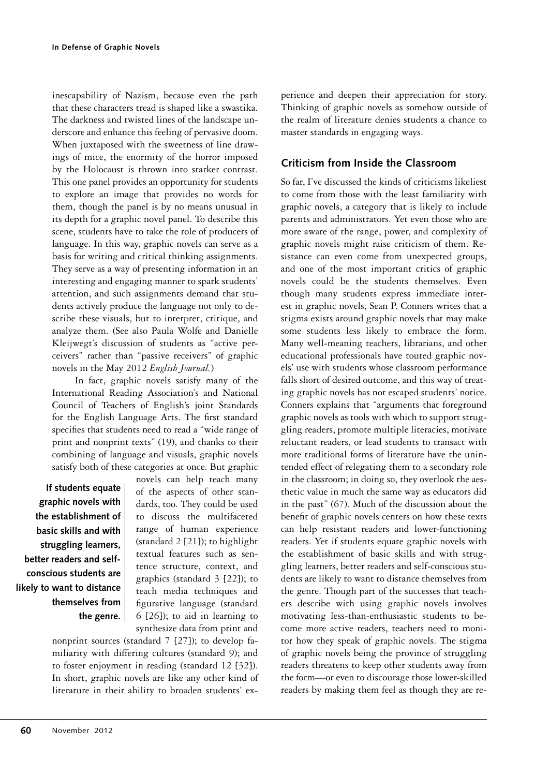inescapability of Nazism, because even the path that these characters tread is shaped like a swastika. The darkness and twisted lines of the landscape underscore and enhance this feeling of pervasive doom. When juxtaposed with the sweetness of line drawings of mice, the enormity of the horror imposed by the Holocaust is thrown into starker contrast. This one panel provides an opportunity for students to explore an image that provides no words for them, though the panel is by no means unusual in its depth for a graphic novel panel. To describe this scene, students have to take the role of producers of language. In this way, graphic novels can serve as a basis for writing and critical thinking assignments. They serve as a way of presenting information in an interesting and engaging manner to spark students' attention, and such assignments demand that students actively produce the language not only to describe these visuals, but to interpret, critique, and analyze them. (See also Paula Wolfe and Danielle Kleijwegt's discussion of students as "active perceivers" rather than "passive receivers" of graphic novels in the May 2012 *English Journal.*)

In fact, graphic novels satisfy many of the International Reading Association's and National Council of Teachers of English's joint Standards for the English Language Arts. The first standard specifies that students need to read a "wide range of print and nonprint texts" (19), and thanks to their combining of language and visuals, graphic novels satisfy both of these categories at once. But graphic

**If students equate graphic novels with the establishment of basic skills and with struggling learners, better readers and selfconscious students are likely to want to distance themselves from the genre.** novels can help teach many of the aspects of other standards, too. They could be used to discuss the multifaceted range of human experience (standard 2 [21]); to highlight textual features such as sentence structure, context, and graphics (standard 3 [22]); to teach media techniques and figurative language (standard 6 [26]); to aid in learning to synthesize data from print and

nonprint sources (standard 7 [27]); to develop familiarity with differing cultures (standard 9); and to foster enjoyment in reading (standard 12 [32]). In short, graphic novels are like any other kind of literature in their ability to broaden students' experience and deepen their appreciation for story. Thinking of graphic novels as somehow outside of the realm of literature denies students a chance to master standards in engaging ways.

# **Criticism from Inside the Classroom**

So far, I've discussed the kinds of criticisms likeliest to come from those with the least familiarity with graphic novels, a category that is likely to include parents and administrators. Yet even those who are more aware of the range, power, and complexity of graphic novels might raise criticism of them. Resistance can even come from unexpected groups, and one of the most important critics of graphic novels could be the students themselves. Even though many students express immediate interest in graphic novels, Sean P. Conners writes that a stigma exists around graphic novels that may make some students less likely to embrace the form. Many well-meaning teachers, librarians, and other educational professionals have touted graphic novels' use with students whose classroom performance falls short of desired outcome, and this way of treating graphic novels has not escaped students' notice. Conners explains that "arguments that foreground graphic novels as tools with which to support struggling readers, promote multiple literacies, motivate reluctant readers, or lead students to transact with more traditional forms of literature have the unintended effect of relegating them to a secondary role in the classroom; in doing so, they overlook the aesthetic value in much the same way as educators did in the past" (67). Much of the discussion about the benefit of graphic novels centers on how these texts can help resistant readers and lower-functioning readers. Yet if students equate graphic novels with the establishment of basic skills and with struggling learners, better readers and self-conscious students are likely to want to distance themselves from the genre. Though part of the successes that teachers describe with using graphic novels involves motivating less-than-enthusiastic students to become more active readers, teachers need to monitor how they speak of graphic novels. The stigma of graphic novels being the province of struggling readers threatens to keep other students away from the form—or even to discourage those lower-skilled readers by making them feel as though they are re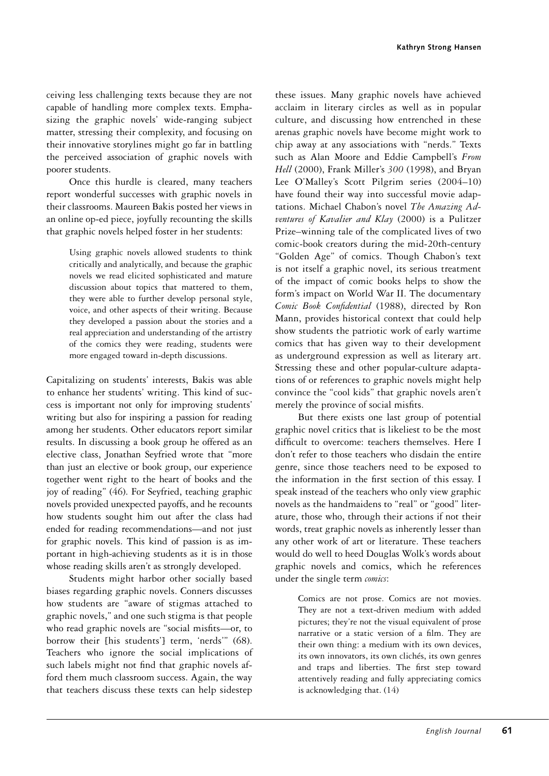ceiving less challenging texts because they are not capable of handling more complex texts. Emphasizing the graphic novels' wide-ranging subject matter, stressing their complexity, and focusing on their innovative storylines might go far in battling the perceived association of graphic novels with poorer students.

Once this hurdle is cleared, many teachers report wonderful successes with graphic novels in their classrooms. Maureen Bakis posted her views in an online op-ed piece, joyfully recounting the skills that graphic novels helped foster in her students:

> Using graphic novels allowed students to think critically and analytically, and because the graphic novels we read elicited sophisticated and mature discussion about topics that mattered to them, they were able to further develop personal style, voice, and other aspects of their writing. Because they developed a passion about the stories and a real appreciation and understanding of the artistry of the comics they were reading, students were more engaged toward in-depth discussions.

Capitalizing on students' interests, Bakis was able to enhance her students' writing. This kind of success is important not only for improving students' writing but also for inspiring a passion for reading among her students. Other educators report similar results. In discussing a book group he offered as an elective class, Jonathan Seyfried wrote that "more than just an elective or book group, our experience together went right to the heart of books and the joy of reading" (46). For Seyfried, teaching graphic novels provided unexpected payoffs, and he recounts how students sought him out after the class had ended for reading recommendations—and not just for graphic novels. This kind of passion is as important in high-achieving students as it is in those whose reading skills aren't as strongly developed.

Students might harbor other socially based biases regarding graphic novels. Conners discusses how students are "aware of stigmas attached to graphic novels," and one such stigma is that people who read graphic novels are "social misfits—or, to borrow their [his students'] term, 'nerds'" (68). Teachers who ignore the social implications of such labels might not find that graphic novels afford them much classroom success. Again, the way that teachers discuss these texts can help sidestep

these issues. Many graphic novels have achieved acclaim in literary circles as well as in popular culture, and discussing how entrenched in these arenas graphic novels have become might work to chip away at any associations with "nerds." Texts such as Alan Moore and Eddie Campbell's *From Hell* (2000), Frank Miller's *300* (1998), and Bryan Lee O'Malley's Scott Pilgrim series (2004–10) have found their way into successful movie adaptations. Michael Chabon's novel *The Amazing Adventures of Kavalier and Klay* (2000) is a Pulitzer Prize–winning tale of the complicated lives of two comic-book creators during the mid-20th-century "Golden Age" of comics. Though Chabon's text is not itself a graphic novel, its serious treatment of the impact of comic books helps to show the form's impact on World War II. The documentary *Comic Book Confidential* (1988), directed by Ron Mann, provides historical context that could help show students the patriotic work of early wartime comics that has given way to their development as underground expression as well as literary art. Stressing these and other popular-culture adaptations of or references to graphic novels might help convince the "cool kids" that graphic novels aren't merely the province of social misfits.

But there exists one last group of potential graphic novel critics that is likeliest to be the most difficult to overcome: teachers themselves. Here I don't refer to those teachers who disdain the entire genre, since those teachers need to be exposed to the information in the first section of this essay. I speak instead of the teachers who only view graphic novels as the handmaidens to "real" or "good" literature, those who, through their actions if not their words, treat graphic novels as inherently lesser than any other work of art or literature. These teachers would do well to heed Douglas Wolk's words about graphic novels and comics, which he references under the single term *comics*:

> Comics are not prose. Comics are not movies. They are not a text-driven medium with added pictures; they're not the visual equivalent of prose narrative or a static version of a film. They are their own thing: a medium with its own devices, its own innovators, its own clichés, its own genres and traps and liberties. The first step toward attentively reading and fully appreciating comics is acknowledging that. (14)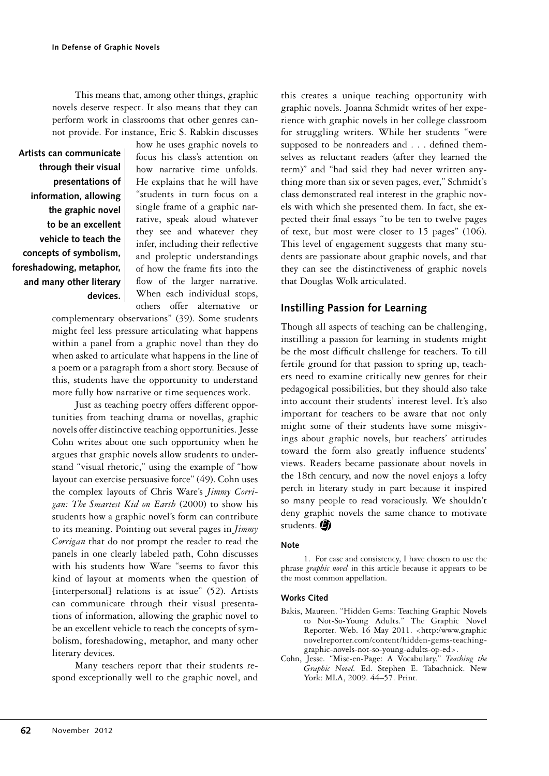This means that, among other things, graphic novels deserve respect. It also means that they can perform work in classrooms that other genres cannot provide. For instance, Eric S. Rabkin discusses

**Artists can communicate through their visual presentations of information, allowing the graphic novel to be an excellent vehicle to teach the concepts of symbolism, foreshadowing, metaphor, and many other literary devices.** how he uses graphic novels to focus his class's attention on how narrative time unfolds. He explains that he will have "students in turn focus on a single frame of a graphic narrative, speak aloud whatever they see and whatever they infer, including their reflective and proleptic understandings of how the frame fits into the flow of the larger narrative. When each individual stops, others offer alternative or

complementary observations" (39). Some students might feel less pressure articulating what happens within a panel from a graphic novel than they do when asked to articulate what happens in the line of a poem or a paragraph from a short story. Because of this, students have the opportunity to understand more fully how narrative or time sequences work.

Just as teaching poetry offers different opportunities from teaching drama or novellas, graphic novels offer distinctive teaching opportunities. Jesse Cohn writes about one such opportunity when he argues that graphic novels allow students to understand "visual rhetoric," using the example of "how layout can exercise persuasive force" (49). Cohn uses the complex layouts of Chris Ware's *Jimmy Corrigan: The Smartest Kid on Earth* (2000) to show his students how a graphic novel's form can contribute to its meaning. Pointing out several pages in *Jimmy Corrigan* that do not prompt the reader to read the panels in one clearly labeled path, Cohn discusses with his students how Ware "seems to favor this kind of layout at moments when the question of [interpersonal] relations is at issue" (52). Artists can communicate through their visual presentations of information, allowing the graphic novel to be an excellent vehicle to teach the concepts of symbolism, foreshadowing, metaphor, and many other literary devices.

Many teachers report that their students respond exceptionally well to the graphic novel, and

this creates a unique teaching opportunity with graphic novels. Joanna Schmidt writes of her experience with graphic novels in her college classroom for struggling writers. While her students "were supposed to be nonreaders and . . . defined themselves as reluctant readers (after they learned the term)" and "had said they had never written anything more than six or seven pages, ever," Schmidt's class demonstrated real interest in the graphic novels with which she presented them. In fact, she expected their final essays "to be ten to twelve pages of text, but most were closer to 15 pages" (106). This level of engagement suggests that many students are passionate about graphic novels, and that they can see the distinctiveness of graphic novels that Douglas Wolk articulated.

# **Instilling Passion for Learning**

Though all aspects of teaching can be challenging, instilling a passion for learning in students might be the most difficult challenge for teachers. To till fertile ground for that passion to spring up, teachers need to examine critically new genres for their pedagogical possibilities, but they should also take into account their students' interest level. It's also important for teachers to be aware that not only might some of their students have some misgivings about graphic novels, but teachers' attitudes toward the form also greatly influence students' views. Readers became passionate about novels in the 18th century, and now the novel enjoys a lofty perch in literary study in part because it inspired so many people to read voraciously. We shouldn't deny graphic novels the same chance to motivate students.

#### **Note**

1. For ease and consistency, I have chosen to use the phrase *graphic novel* in this article because it appears to be the most common appellation.

#### **Works Cited**

- Bakis, Maureen. "Hidden Gems: Teaching Graphic Novels to Not-So-Young Adults." The Graphic Novel Reporter. Web. 16 May 2011. <http:/www.graphic novelreporter.com/content/hidden-gems-teachinggraphic-novels-not-so-young-adults-op-ed>.
- Cohn, Jesse. "Mise-en-Page: A Vocabulary." *Teaching the Graphic Novel.* Ed. Stephen E. Tabachnick. New York: MLA, 2009. 44–57. Print.